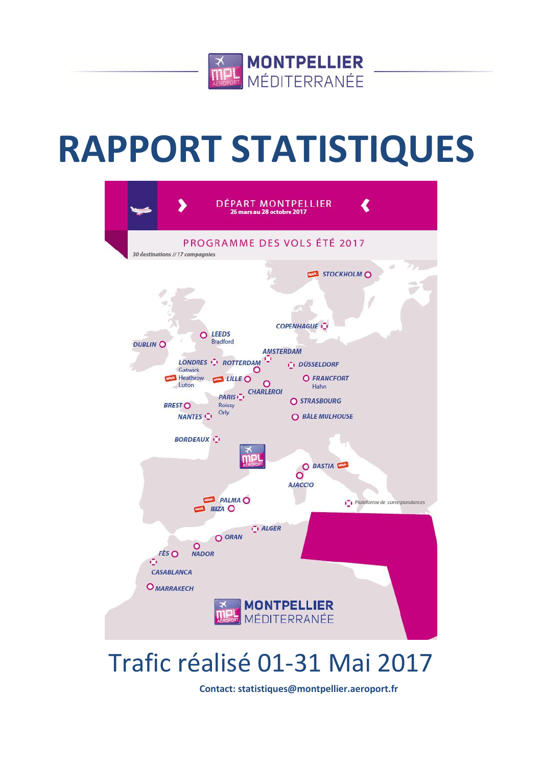

# **RAPPORT STATISTIQUES**



## Trafic réalisé 01-31 Mai 2017

**Contact: statistiques@montpellier.aeroport.fr**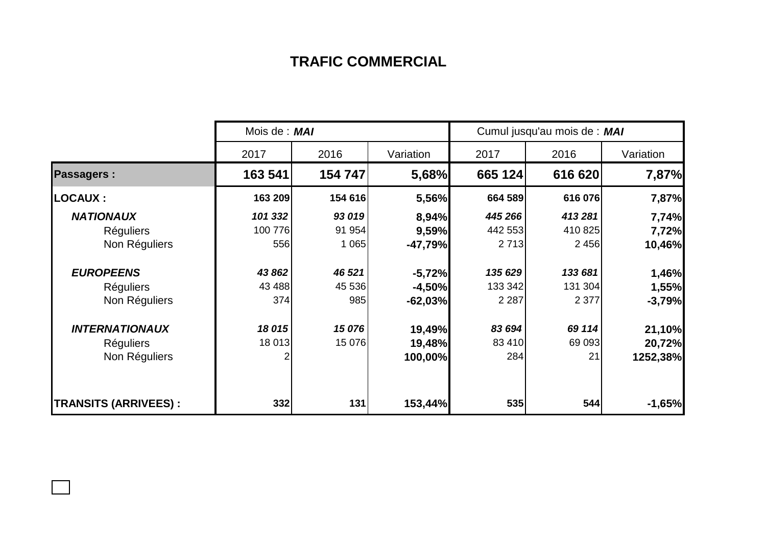## **TRAFIC COMMERCIAL**

|                             | Mois de : MAI |         |           | Cumul jusqu'au mois de : MAI |         |           |  |
|-----------------------------|---------------|---------|-----------|------------------------------|---------|-----------|--|
|                             | 2017          | 2016    | Variation | 2017                         | 2016    | Variation |  |
| <b>Passagers:</b>           | 163 541       | 154 747 | 5,68%     | 665 124                      | 616 620 | 7,87%     |  |
| <b>LOCAUX:</b>              | 163 209       | 154 616 | 5,56%     | 664 589                      | 616 076 | 7,87%     |  |
| <b>NATIONAUX</b>            | 101 332       | 93 019  | 8,94%     | 445 266                      | 413 281 | 7,74%     |  |
| <b>Réguliers</b>            | 100 776       | 91 954  | 9,59%     | 442 553                      | 410 825 | 7,72%     |  |
| Non Réguliers               | 556           | 1 0 6 5 | $-47,79%$ | 2 7 1 3                      | 2 4 5 6 | 10,46%    |  |
| <b>EUROPEENS</b>            | 43 862        | 46 521  | $-5,72%$  | 135 629                      | 133 681 | 1,46%     |  |
| <b>Réguliers</b>            | 43 4 88       | 45 536  | $-4,50%$  | 133 342                      | 131 304 | 1,55%     |  |
| Non Réguliers               | 374           | 985     | $-62,03%$ | 2 2 8 7                      | 2 3 7 7 | $-3,79%$  |  |
| <b>INTERNATIONAUX</b>       | 18 015        | 15 076  | 19,49%    | 83 694                       | 69 114  | 21,10%    |  |
| <b>Réguliers</b>            | 18 013        | 15 076  | 19,48%    | 83 410                       | 69 093  | 20,72%    |  |
| Non Réguliers               |               |         | 100,00%   | 284                          | 21      | 1252,38%  |  |
| <b>TRANSITS (ARRIVEES):</b> | 332           | 131     | 153,44%   | 535                          | 544     | $-1,65%$  |  |

 $\Box$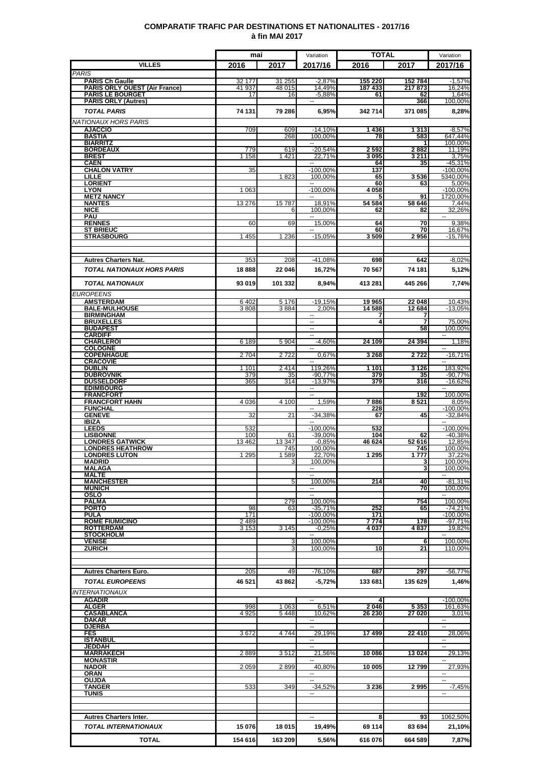### **COMPARATIF TRAFIC PAR DESTINATIONS ET NATIONALITES - 2017/16 à fin MAI 2017**

|                                                  | mai              |                    | Variation                                            | <b>TOTAL</b>       |                   | Variation                                     |
|--------------------------------------------------|------------------|--------------------|------------------------------------------------------|--------------------|-------------------|-----------------------------------------------|
| <b>VILLES</b>                                    | 2016             | 2017               | 2017/16                                              | 2016               | 2017              | 2017/16                                       |
| <b>PARIS</b><br><b>PARIS Ch Gaulle</b>           |                  |                    |                                                      |                    |                   |                                               |
| <b>PARIS ORLY OUEST (Air France)</b>             | 32 177<br>41 937 | 31 255<br>48 015   | $-2,87%$<br>14,49%                                   | 155 220<br>187 433 | 152 784<br>217873 | $-1,57%$<br>16,24%                            |
| <b>PARIS LE BOURGET</b>                          | 17               | 16                 | $-5,88%$                                             | 61                 | 62                | 1,64%<br>100,00%                              |
| <b>PARIS ORLY (Autres)</b><br><b>TOTAL PARIS</b> | 74 131           | 79 286             | 6,95%                                                | 342 714            | 366<br>371 085    | 8,28%                                         |
|                                                  |                  |                    |                                                      |                    |                   |                                               |
| NATIONAUX HORS PARIS<br><b>AJACCIO</b>           | 709              | 609                | $-14,10%$                                            | 1436               | 1 3 1 3           | $-8,57%$                                      |
| <b>BASTIA</b>                                    |                  | 268                | 100.00%                                              | 78                 | 583               | 647,44%                                       |
| <b>BIARRITZ</b><br><b>BORDEAUX</b>               | 779              | 619                | $-20,54%$                                            | 2592               | 2882              | 100,00%<br>11,19%                             |
| <b>BREST</b>                                     | 1 1 5 8          | 1421               | 22,71%                                               | 3 095              | 3 2 1 1           | 3.75%                                         |
| <b>CAEN</b><br><b>CHALON VATRY</b>               | 35               |                    | --<br>$-100,00%$                                     | 64<br>137          | 35                | $-45,31%$<br>$-100,00%$                       |
| LILLE                                            |                  | 1823               | 100,00%                                              | 65                 | 3536              | 5340,00%                                      |
| <b>LORIENT</b><br><b>LYON</b>                    | 1 0 6 3          |                    | $\overline{\phantom{a}}$<br>$-100,00%$               | 60<br>4 0 5 8      | 63                | 5,00%<br>$-100,00%$                           |
| <b>METZ NANCY</b>                                |                  |                    | $\overline{\phantom{a}}$                             | 5                  | 91                | 1720.00%                                      |
| <b>NANTES</b><br><b>NICE</b>                     | 13 276           | 15787<br>6         | 18,91%<br>100.00%                                    | 54 584<br>62       | 58 646<br>82      | 7,44%<br>32,26%                               |
| PAU                                              |                  |                    |                                                      |                    |                   | $\sim$                                        |
| <b>RENNES</b><br><b>ST BRIEUC</b>                | 60               | 69                 | 15,00%                                               | 64<br>60           | 70<br>70          | 9,38%<br>16.67%                               |
| <b>STRASBOURG</b>                                | 1 4 5 5          | 1 2 3 6            | $-15,05%$                                            | $3\,509$           | 2956              | $-15,76%$                                     |
|                                                  |                  |                    |                                                      |                    |                   |                                               |
| <b>Autres Charters Nat.</b>                      | 353              | 208                | -41,08%                                              | 698                | 642               | $-8,02%$                                      |
| <b>TOTAL NATIONAUX HORS PARIS</b>                | 18888            | 22 046             | 16,72%                                               | 70 567             | 74 181            | 5,12%                                         |
|                                                  |                  |                    |                                                      |                    |                   |                                               |
| <b>TOTAL NATIONAUX</b>                           | 93 019           | 101 332            | 8,94%                                                | 413 281            | 445 266           | 7,74%                                         |
| EUROPEENS                                        |                  |                    |                                                      |                    |                   |                                               |
| <b>AMSTERDAM</b><br><b>BALE-MULHOUSE</b>         | 6 4 0 2<br>3808  | 5 1 7 6<br>3884    | $-19.15%$<br>2.00%                                   | 19 965<br>14 588   | 22 048<br>12 684  | 10,43%<br>$-13.05%$                           |
| <b>BIRMINGHAM</b>                                |                  |                    |                                                      |                    |                   |                                               |
| <b>BRUXELLES</b><br><b>BUDAPEST</b>              |                  |                    | $\overline{\phantom{a}}$<br>$\overline{\phantom{a}}$ | 4                  | 7<br>58           | 75,00%<br>100,00%                             |
| <b>CARDIFF</b>                                   |                  |                    | $\overline{\phantom{a}}$                             |                    |                   | $\mathord{\hspace{1pt}\text{--}\hspace{1pt}}$ |
| <b>CHARLEROI</b><br><b>COLOGNE</b>               | 6 189            | 5 9 0 4            | $-4,60%$                                             | 24 109             | 24 3 94           | 1,18%                                         |
| <b>COPENHAGUE</b>                                | 2 7 0 4          | 2722               | 0,67%                                                | 3 2 6 8            | 2722              | $-16,71%$                                     |
| <b>CRACOVIE</b><br><b>DUBLIN</b>                 | 1 1 0 1          | 2414               | 119,26%                                              | 1 1 0 1            | 3126              | 183,92%                                       |
| <b>DUBROVNIK</b>                                 | 379              | 35                 | $-90,77%$                                            | 379                | 35                | $-90,77%$                                     |
| <b>DUSSELDORF</b><br><b>EDIMBOURG</b>            | 365              | 314                | $-13,97%$<br>$\overline{\phantom{a}}$                | 379                | 316               | $-16,62%$<br>$\sim$                           |
| <b>FRANCFORT</b>                                 |                  |                    |                                                      |                    | 192               | 100,00%                                       |
| <b>FRANCFORT HAHN</b>                            | 4 0 36           | 4 100              | 1,59%                                                | 7886               | 8521              | 8,05%                                         |
| <b>FUNCHAL</b><br><b>GENEVE</b>                  | 32               | 21                 | $-34,38%$                                            | 228<br>67          | 45                | $-100,00%$<br>$-32.84%$                       |
| <b>IBIZA</b>                                     |                  |                    |                                                      |                    |                   |                                               |
| <b>LEEDS</b><br><b>LISBONNE</b>                  | 532<br>100       | 61                 | $-100,00%$<br>$-39,00%$                              | 532<br>104         | 62                | $-100,00%$<br>-40,38%                         |
| <b>LONDRES GATWICK</b>                           | 13 4 62          | 13 347             | $-0,85%$                                             | 46 624             | 52 616            | 12,85%                                        |
| <b>LONDRES HEATHROW</b><br><b>LONDRES LUTON</b>  | 1 2 9 5          | 745<br>1589        | 100,00%<br>22,70%                                    | 1 2 9 5            | 745<br>1777       | 100,00%<br>37,22%                             |
| <b>MADRID</b>                                    |                  | 3                  | 100.00%                                              |                    | 3                 | 100,00%                                       |
| MALAGA<br><b>MALTE</b>                           |                  |                    | $\overline{\phantom{a}}$                             |                    | 3                 | 100,00%<br>н.                                 |
| <b>MANCHESTER</b>                                |                  | 5                  | 100,00%                                              | 214                | 40                | $-81,31%$                                     |
| <b>MUNICH</b><br>OSLO                            |                  |                    | ⊷.<br>$\sim$                                         |                    | 70                | 100,00%                                       |
| PALMA                                            |                  | 279                | 100,00%                                              |                    | 754               | 100,00%                                       |
| <b>PORTO</b><br>PULA                             | 98<br>171        | 63                 | $-35,71%$<br>$-100,00%$                              | 252<br>171         | 65                | $-74,21%$<br>$-100,00%$                       |
| <b>ROME FIUMICINO</b>                            | 2 4 8 9          |                    | $-100,00%$                                           | 7 7 7 4            | 178               | $-97,71%$                                     |
| <b>ROTTERDAM</b><br><b>STOCKHOLM</b>             | 3 1 5 3          | 3 1 4 5            | $-0,25%$<br>$\sim$                                   | 4 0 3 7            | 4837              | 19,82%<br>-- 1                                |
| <b>VENISE</b>                                    |                  | 3                  | 100,00%                                              |                    | 6                 | 100,00%                                       |
| <b>ZURICH</b>                                    |                  | 3                  | 100,00%                                              | 10                 | 21                | 110,00%                                       |
|                                                  |                  |                    |                                                      |                    |                   |                                               |
| <b>Autres Charters Euro.</b>                     | 205              | 49                 | $-76,10%$                                            | 687                | 297               | -56,77%                                       |
| <b>TOTAL EUROPEENS</b>                           | 46 521           | 43 862             | $-5,72%$                                             | 133 681            | 135 629           | 1,46%                                         |
| <b>INTERNATIONAUX</b>                            |                  |                    |                                                      |                    |                   |                                               |
| <b>AGADIR</b>                                    |                  |                    | $\sim$                                               | 4                  |                   | $-100,00%$                                    |
| <b>ALGER</b><br>CASABLANCA                       | 998<br>4 9 2 5   | 1 0 6 3<br>5 4 4 8 | 6,51%<br>10,62%                                      | 2046<br>26 230     | 5 3 5 3<br>27 020 | 161,63%<br>3,01%                              |
| DAKAR                                            |                  |                    |                                                      |                    |                   | $\sim$                                        |
| <u>DJERBA</u><br>FES                             | 3672             | 4744               | 29,19%                                               | 17 499             | 22 410            | $\mathbf{u}$<br>28,06%                        |
| <b>ISTANBUL</b>                                  |                  |                    | $\overline{\phantom{a}}$                             |                    |                   |                                               |
| <b>JEDDAH</b><br><b>MARRAKECH</b>                | 2889             | 3512               | $\overline{\phantom{a}}$<br>21,56%                   | 10 086             | 13 0 24           | H<br>29,13%                                   |
| <b>MONASTIR</b>                                  |                  |                    | $\overline{\phantom{a}}$                             |                    |                   | н.                                            |
| <b>NADOR</b><br>ORAN                             | 2 0 5 9          | 2899               | 40,80%<br>٠.                                         | 10 005             | 12799             | 27,93%                                        |
| <b>OUJDA</b>                                     |                  |                    |                                                      |                    |                   | $\sim$ $\sim$                                 |
| <b>TANGER</b><br><b>TUNIS</b>                    | 533              | 349                | $-34,52%$<br>$\overline{\phantom{a}}$                | 3 2 3 6            | 2995              | $-7,45%$<br>$\sim$                            |
|                                                  |                  |                    |                                                      |                    |                   |                                               |
|                                                  |                  |                    |                                                      |                    |                   |                                               |
| <b>Autres Charters Inter.</b>                    |                  |                    | $\overline{\phantom{a}}$                             | 8                  | 93                | 1062,50%                                      |
| <b>TOTAL INTERNATIONAUX</b>                      | 15 076           | 18 015             | 19,49%                                               | 69 114             | 83 694            | 21,10%                                        |
| <b>TOTAL</b>                                     | 154 616          | 163 209            | 5,56%                                                | 616 076            | 664 589           | 7,87%                                         |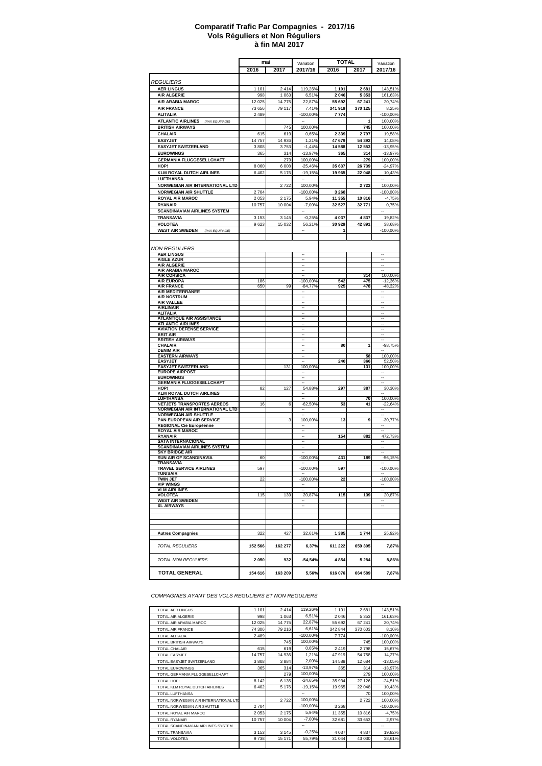#### **à fin MAI 2017 Comparatif Trafic Par Compagnies - 2017/16 Vols Réguliers et Non Réguliers**

|                                                                 | mai     |         | Variation                | <b>TOTAL</b> |         | Variation  |
|-----------------------------------------------------------------|---------|---------|--------------------------|--------------|---------|------------|
|                                                                 | 2016    | 2017    | 2017/16                  | 2016         | 2017    | 2017/16    |
|                                                                 |         |         |                          |              |         |            |
| <b>REGULIERS</b>                                                |         |         |                          |              |         |            |
| <b>AER LINGUS</b>                                               | 1 1 0 1 | 2414    | 119,26%                  | 1 101        | 2681    | 143,51%    |
| <b>AIR ALGERIE</b>                                              | 998     | 1 0 6 3 | 6,51%                    | 2 0 46       | 5 3 5 3 | 161,63%    |
| AIR ARABIA MAROC                                                | 12 0 25 | 14775   | 22,87%                   | 55 692       | 67 241  | 20,74%     |
| <b>AIR FRANCE</b>                                               | 73 656  | 79 117  | 7,41%                    | 341 919      | 370 125 | 8.25%      |
| <b>ALITALIA</b>                                                 | 2 4 8 9 |         | $-100,00%$               | 7774         |         | $-100,00%$ |
| <b>ATLANTIC AIRLINES</b><br>(PAX EQUIPAGE)                      |         |         |                          |              | 1       | 100,00%    |
| <b>BRITISH AIRWAYS</b>                                          |         | 745     | 100,00%                  |              | 745     | 100,00%    |
| CHALAIR                                                         | 615     | 619     | 0,65%                    | 2 3 3 9      | 2797    | 19,58%     |
| <b>EASYJET</b>                                                  | 14 757  | 14 936  | 1,21%                    | 47 679       | 54 392  | 14,08%     |
| <b>EASYJET SWITZERLAND</b>                                      | 3808    | 3753    | $-1,44%$                 | 14 588       | 12 553  | $-13,95%$  |
| <b>EUROWINGS</b>                                                | 365     | 314     | $-13,97%$                | 365          | 314     | $-13,97%$  |
| <b>GERMANIA FLUGGESELLCHAFT</b>                                 |         | 279     | 100,00%                  |              | 279     | 100,00%    |
| HOP!                                                            | 8 0 6 0 | 6 0 0 8 | $-25,46%$                | 35 637       | 26 739  | $-24,97%$  |
| <b>KLM ROYAL DUTCH AIRLINES</b>                                 | 6402    | 5 1 7 6 | $-19,15%$                | 19 965       | 22 048  | 10,43%     |
| <b>LUFTHANSA</b>                                                |         |         |                          |              |         |            |
|                                                                 |         |         | 100,00%                  |              |         |            |
| NORWEGIAN AIR INTERNATIONAL LTD<br><b>NORWEGIAN AIR SHUTTLE</b> |         | 2722    |                          |              | 2722    | 100,00%    |
|                                                                 | 2 7 0 4 |         | $-100,00%$               | 3 2 6 8      |         | $-100,00%$ |
| <b>ROYAL AIR MAROC</b>                                          | 2 0 5 3 | 2 1 7 5 | 5,94%                    | 11 355       | 10816   | $-4,75%$   |
| <b>RYANAIR</b>                                                  | 10757   | 10 004  | $-7,00%$                 | 32 527       | 32 771  | 0,75%      |
| <b>SCANDINAVIAN AIRLINES SYSTEM</b>                             |         |         |                          |              |         |            |
| TRANSAVIA                                                       | 3 1 5 3 | 3 1 4 5 | $-0,25%$                 | 4 0 3 7      | 4837    | 19,82%     |
| <b>VOLOTEA</b>                                                  | 9623    | 15 0 32 | 56,21%                   | 30 929       | 42 891  | 38,68%     |
| <b>WEST AIR SWEDEN</b><br>(PAX EQUIPAGE)                        |         |         |                          | 1            |         | -100,00%   |
|                                                                 |         |         |                          |              |         |            |
|                                                                 |         |         |                          |              |         |            |
| <b>NON REGULIERS</b>                                            |         |         |                          |              |         |            |
| <b>AER LINGUS</b><br><b>AIGLE AZUR</b>                          |         |         |                          |              |         | ÷.         |
| <b>AIR ALGERIE</b>                                              |         |         | $\ddot{\phantom{1}}$     |              |         | Ξ.         |
| AIR ARABIA MAROC                                                |         |         | $\sim$                   |              |         |            |
| <b>AIR CORSICA</b>                                              |         |         |                          |              | 314     | 100,00%    |
| <b>AIR EUROPA</b>                                               | 186     |         | $-100,00%$               | 542          | 475     | $-12,36%$  |
| <b>AIR FRANCE</b>                                               | 650     | 99      | $-84,77%$                | 925          | 478     | $-48,32%$  |
| AIR MEDITERRANEE<br><b>AIR NOSTRUM</b>                          |         |         | --                       |              |         | ۰.         |
| <b>AIR VALLEE</b>                                               |         |         | -                        |              |         | --         |
| <b>AIRLINAIR</b>                                                |         |         | --                       |              |         | ۰.         |
| <b>ALITALIA</b>                                                 |         |         |                          |              |         | ٠.         |
| <b>ATLANTIQUE AIR ASSISTANCE</b>                                |         |         |                          |              |         |            |
| <b>ATLANTIC AIRLINES</b>                                        |         |         |                          |              |         |            |
| <b>AVIATION DEFENSE SERVICE</b>                                 |         |         |                          |              |         |            |
| <b>BRIT AIR</b><br><b>BRITISH AIRWAYS</b>                       |         |         |                          |              |         |            |
| CHALAIR                                                         |         |         |                          | 80           | 1       | $-98,75%$  |
| <b>DENIM AIR</b>                                                |         |         |                          |              |         |            |
| <b>EASTERN AIRWAYS</b>                                          |         |         |                          |              | 58      | 100,00%    |
| <b>EASYJET</b>                                                  |         |         |                          | 240          | 366     | 52,50%     |
| <b>EASYJET SWITZERLAND</b>                                      |         | 131     | 100,00%                  |              | 131     | 100,00%    |
| <b>EUROPE AIRPOST</b><br><b>EUROWINGS</b>                       |         |         |                          |              |         |            |
| <b>GERMANIA FLUGGESELLCHAFT</b>                                 |         |         |                          |              |         |            |
| HOP!                                                            | 82      | 127     | 54,88%                   | 297          | 387     | 30,30%     |
| <b>KLM ROYAL DUTCH AIRLINES</b>                                 |         |         |                          |              |         |            |
| <b>LUFTHANSA</b>                                                |         |         |                          |              | 70      | 100,00%    |
| NETJETS TRANSPORTES AEREOS                                      | 16      | 6       | $-62,50%$                | 53           | 41      | $-22,64%$  |
| NORWEGIAN AIR INTERNATIONAL LTD                                 |         |         |                          |              |         |            |
| <b>NORWEGIAN AIR SHUTTLE</b><br>PAN EUROPEAN AIR SERVICE        |         | 3       | 100,00%                  | 13           | 9       | $-30,77%$  |
| REGIONAL Cie Européenne                                         |         |         | $\overline{\phantom{a}}$ |              |         | ۰.         |
| <b>ROYAL AIR MAROC</b>                                          |         |         |                          |              |         |            |
| <b>RYANAIR</b>                                                  |         |         | $\overline{\phantom{a}}$ | 154          | 882     | 472,73%    |
| <b>SATA INTERNACIONAL</b>                                       |         |         | $\overline{\phantom{a}}$ |              |         | ۰.         |
| <b>SCANDINAVIAN AIRLINES SYSTEM</b>                             |         |         |                          |              |         | ۰.         |
| <b>SKY BRIDGE AIR</b><br>SUN AIR OF SCANDINAVIA                 | 60      |         | $-100,00%$               | 431          | 189     | $-56,15%$  |
| TRANSAVIA                                                       |         |         |                          |              |         |            |
| <b>TRAVEL SERVICE AIRLINES</b>                                  | 597     |         | -100,00%                 | 597          |         | -100,00%   |
| <b>TUNISAIR</b>                                                 |         |         |                          |              |         |            |
| <b>TWIN JET</b>                                                 | 22      |         | -100,00%                 | 22           |         | -100,00%   |
| <b>VIP WINGS</b>                                                |         |         |                          |              |         |            |
| <b>VLM AIRLINES</b><br>VOLOTEA                                  | 115     | 139     | 20,87%                   | 115          | 139     | 20,87%     |
| <b>WEST AIR SWEDEN</b>                                          |         |         |                          |              |         |            |
| <b>XL AIRWAYS</b>                                               |         |         |                          |              |         |            |
|                                                                 |         |         |                          |              |         |            |
|                                                                 |         |         |                          |              |         |            |
|                                                                 |         |         |                          |              |         |            |
|                                                                 |         | 427     |                          | 1 3 8 5      | 1744    |            |
| <b>Autres Compagnies</b>                                        | 322     |         | 32,61%                   |              |         | 25,92%     |
|                                                                 |         |         |                          |              |         |            |
| <b>TOTAL REGULIERS</b>                                          | 152 566 | 162 277 | 6,37%                    | 611 222      | 659 305 | 7,87%      |
|                                                                 |         |         |                          |              |         |            |
| TOTAL NON REGULIERS                                             | 2050    | 932     | $-54,54%$                | 4854         | 5 2 8 4 | 8,86%      |
|                                                                 |         |         |                          |              |         |            |
| <b>TOTAL GENERAL</b>                                            | 154 616 | 163 209 | 5,56%                    | 616 076      | 664 589 | 7,87%      |
|                                                                 |         |         |                          |              |         |            |

*COMPAGNIES AYANT DES VOLS REGULIERS ET NON REGULIERS*

| <b>TOTAL AER LINGUS</b>               | 1 1 0 1 | 2414     | 119,26%     | 1 1 0 1 | 2681    | 143,51%    |
|---------------------------------------|---------|----------|-------------|---------|---------|------------|
| <b>TOTAL AIR ALGERIE</b>              | 998     | 1 0 6 3  | 6,51%       | 2 0 4 6 | 5 3 5 3 | 161,63%    |
| TOTAL AIR ARABIA MAROC                | 12 0 25 | 14 7 7 5 | 22,87%      | 55 692  | 67 241  | 20,74%     |
| <b>TOTAL AIR FRANCE</b>               | 74 306  | 79 216   | 6.61%       | 342 844 | 370 603 | 8,10%      |
| <b>TOTAL ALITALIA</b>                 | 2489    |          | $-100.00\%$ | 7 7 7 4 |         | $-100,00%$ |
| <b>TOTAL BRITISH AIRWAYS</b>          |         | 745      | 100,00%     |         | 745     | 100,00%    |
| <b>TOTAL CHALAIR</b>                  | 615     | 619      | 0,65%       | 2419    | 2798    | 15,67%     |
| <b>TOTAL EASYJET</b>                  | 14757   | 14 936   | 1,21%       | 47919   | 54 758  | 14,27%     |
| TOTAL EASYJET SWITZERLAND             | 3808    | 3884     | 2,00%       | 14 588  | 12 684  | $-13,05%$  |
| <b>TOTAL EUROWINGS</b>                | 365     | 314      | $-13,97%$   | 365     | 314     | $-13,97%$  |
| TOTAL GERMANIA FLUGGESELLCHAFT        |         | 279      | 100,00%     |         | 279     | 100,00%    |
| <b>TOTAL HOP!</b>                     | 8 1 4 2 | 6 1 3 5  | $-24,65%$   | 35 934  | 27 126  | $-24,51%$  |
| TOTAL KLM ROYAL DUTCH AIRLINES        | 6402    | 5 1 7 6  | $-19,15%$   | 19 9 65 | 22 048  | 10,43%     |
| <b>TOTAL LUFTHANSA</b>                |         |          | --          |         | 70      | 100,00%    |
| TOTAL NORWEGIAN AIR INTERNATIONAL LTL |         | 2722     | 100,00%     |         | 2722    | 100,00%    |
| TOTAL NORWEGIAN AIR SHUTTLE           | 2704    |          | $-100.00\%$ | 3 2 6 8 |         | $-100,00%$ |
| TOTAL ROYAL AIR MAROC                 | 2 0 5 3 | 2 1 7 5  | 5,94%       | 11 355  | 10816   | $-4,75%$   |
| <b>TOTAL RYANAIR</b>                  | 10757   | 10 004   | $-7,00%$    | 32 681  | 33 653  | 2,97%      |
| TOTAL SCANDINAVIAN AIRLINES SYSTEM    |         |          | --          |         |         | --         |
| <b>TOTAL TRANSAVIA</b>                | 3 1 5 3 | 3 1 4 5  | $-0.25%$    | 4 0 3 7 | 4 8 3 7 | 19,82%     |
| <b>TOTAL VOLOTEA</b>                  | 9738    | 15 171   | 55,79%      | 31 044  | 43 030  | 38,61%     |
|                                       |         |          |             |         |         |            |